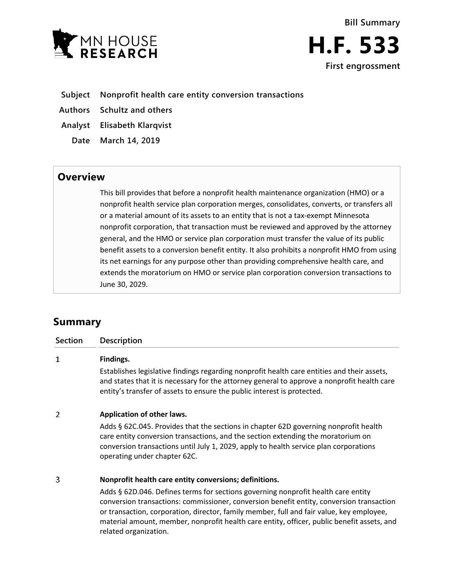



- **Subject Nonprofit health care entity conversion transactions**
- **Authors Schultz and others**
- **Analyst Elisabeth Klarqvist**
- **Date March 14, 2019**

## **Overview**

This bill provides that before a nonprofit health maintenance organization (HMO) or a nonprofit health service plan corporation merges, consolidates, converts, or transfers all or a material amount of its assets to an entity that is not a tax-exempt Minnesota nonprofit corporation, that transaction must be reviewed and approved by the attorney general, and the HMO or service plan corporation must transfer the value of its public benefit assets to a conversion benefit entity. It also prohibits a nonprofit HMO from using its net earnings for any purpose other than providing comprehensive health care, and extends the moratorium on HMO or service plan corporation conversion transactions to June 30, 2029.

# **Summary**

| <b>Section</b> | <b>Description</b>                                                                                                                                                                                                                                                                                |
|----------------|---------------------------------------------------------------------------------------------------------------------------------------------------------------------------------------------------------------------------------------------------------------------------------------------------|
| 1              | Findings.                                                                                                                                                                                                                                                                                         |
|                | Establishes legislative findings regarding nonprofit health care entities and their assets,<br>and states that it is necessary for the attorney general to approve a nonprofit health care<br>entity's transfer of assets to ensure the public interest is protected.                             |
| $\overline{2}$ | Application of other laws.                                                                                                                                                                                                                                                                        |
|                | Adds § 62C.045. Provides that the sections in chapter 62D governing nonprofit health<br>care entity conversion transactions, and the section extending the moratorium on<br>conversion transactions until July 1, 2029, apply to health service plan corporations<br>operating under chapter 62C. |
| 3              | Nonprofit health care entity conversions; definitions.                                                                                                                                                                                                                                            |
|                | Adds § 62D.046. Defines terms for sections governing nonprofit health care entity<br>conversion transactions: commissioner, conversion benefit entity, conversion transaction                                                                                                                     |

conversion transactions: commissioner, conversion benefit entity, conversion transaction or transaction, corporation, director, family member, full and fair value, key employee, material amount, member, nonprofit health care entity, officer, public benefit assets, and related organization.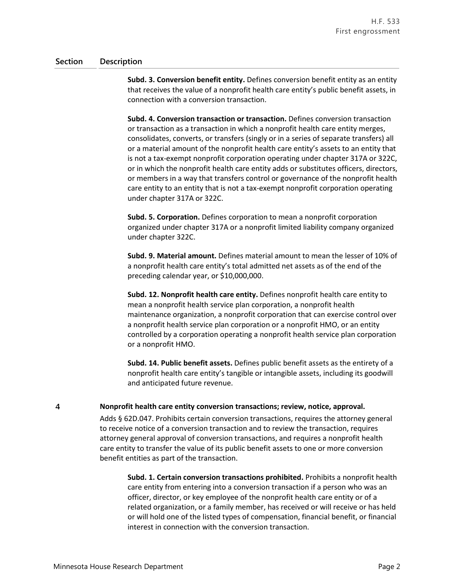**Subd. 3. Conversion benefit entity.** Defines conversion benefit entity as an entity that receives the value of a nonprofit health care entity's public benefit assets, in connection with a conversion transaction.

**Subd. 4. Conversion transaction or transaction.** Defines conversion transaction or transaction as a transaction in which a nonprofit health care entity merges, consolidates, converts, or transfers (singly or in a series of separate transfers) all or a material amount of the nonprofit health care entity's assets to an entity that is not a tax-exempt nonprofit corporation operating under chapter 317A or 322C, or in which the nonprofit health care entity adds or substitutes officers, directors, or members in a way that transfers control or governance of the nonprofit health care entity to an entity that is not a tax-exempt nonprofit corporation operating under chapter 317A or 322C.

**Subd. 5. Corporation.** Defines corporation to mean a nonprofit corporation organized under chapter 317A or a nonprofit limited liability company organized under chapter 322C.

**Subd. 9. Material amount.** Defines material amount to mean the lesser of 10% of a nonprofit health care entity's total admitted net assets as of the end of the preceding calendar year, or \$10,000,000.

**Subd. 12. Nonprofit health care entity.** Defines nonprofit health care entity to mean a nonprofit health service plan corporation, a nonprofit health maintenance organization, a nonprofit corporation that can exercise control over a nonprofit health service plan corporation or a nonprofit HMO, or an entity controlled by a corporation operating a nonprofit health service plan corporation or a nonprofit HMO.

**Subd. 14. Public benefit assets.** Defines public benefit assets as the entirety of a nonprofit health care entity's tangible or intangible assets, including its goodwill and anticipated future revenue.

#### $\overline{4}$ **Nonprofit health care entity conversion transactions; review, notice, approval.**

Adds § 62D.047. Prohibits certain conversion transactions, requires the attorney general to receive notice of a conversion transaction and to review the transaction, requires attorney general approval of conversion transactions, and requires a nonprofit health care entity to transfer the value of its public benefit assets to one or more conversion benefit entities as part of the transaction.

**Subd. 1. Certain conversion transactions prohibited.** Prohibits a nonprofit health care entity from entering into a conversion transaction if a person who was an officer, director, or key employee of the nonprofit health care entity or of a related organization, or a family member, has received or will receive or has held or will hold one of the listed types of compensation, financial benefit, or financial interest in connection with the conversion transaction.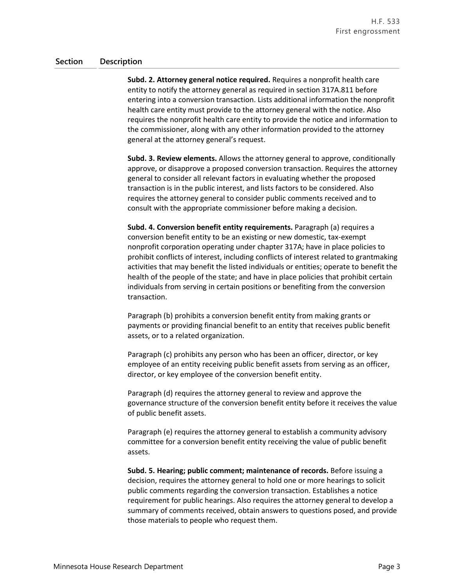**Subd. 2. Attorney general notice required.** Requires a nonprofit health care entity to notify the attorney general as required in section 317A.811 before entering into a conversion transaction. Lists additional information the nonprofit health care entity must provide to the attorney general with the notice. Also requires the nonprofit health care entity to provide the notice and information to the commissioner, along with any other information provided to the attorney general at the attorney general's request.

**Subd. 3. Review elements.** Allows the attorney general to approve, conditionally approve, or disapprove a proposed conversion transaction. Requires the attorney general to consider all relevant factors in evaluating whether the proposed transaction is in the public interest, and lists factors to be considered. Also requires the attorney general to consider public comments received and to consult with the appropriate commissioner before making a decision.

**Subd. 4. Conversion benefit entity requirements.** Paragraph (a) requires a conversion benefit entity to be an existing or new domestic, tax-exempt nonprofit corporation operating under chapter 317A; have in place policies to prohibit conflicts of interest, including conflicts of interest related to grantmaking activities that may benefit the listed individuals or entities; operate to benefit the health of the people of the state; and have in place policies that prohibit certain individuals from serving in certain positions or benefiting from the conversion transaction.

Paragraph (b) prohibits a conversion benefit entity from making grants or payments or providing financial benefit to an entity that receives public benefit assets, or to a related organization.

Paragraph (c) prohibits any person who has been an officer, director, or key employee of an entity receiving public benefit assets from serving as an officer, director, or key employee of the conversion benefit entity.

Paragraph (d) requires the attorney general to review and approve the governance structure of the conversion benefit entity before it receives the value of public benefit assets.

Paragraph (e) requires the attorney general to establish a community advisory committee for a conversion benefit entity receiving the value of public benefit assets.

**Subd. 5. Hearing; public comment; maintenance of records.** Before issuing a decision, requires the attorney general to hold one or more hearings to solicit public comments regarding the conversion transaction. Establishes a notice requirement for public hearings. Also requires the attorney general to develop a summary of comments received, obtain answers to questions posed, and provide those materials to people who request them.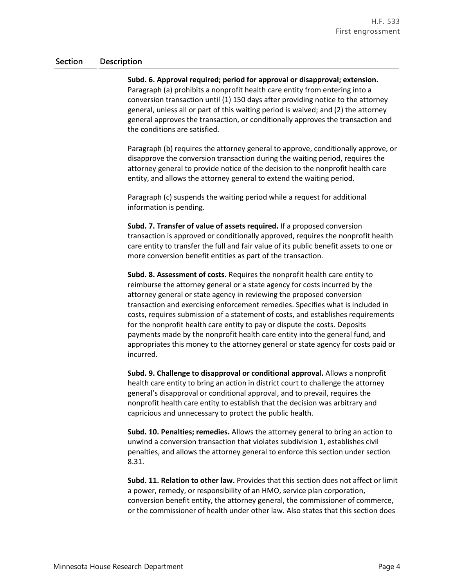**Subd. 6. Approval required; period for approval or disapproval; extension.** Paragraph (a) prohibits a nonprofit health care entity from entering into a conversion transaction until (1) 150 days after providing notice to the attorney general, unless all or part of this waiting period is waived; and (2) the attorney general approves the transaction, or conditionally approves the transaction and the conditions are satisfied.

Paragraph (b) requires the attorney general to approve, conditionally approve, or disapprove the conversion transaction during the waiting period, requires the attorney general to provide notice of the decision to the nonprofit health care entity, and allows the attorney general to extend the waiting period.

Paragraph (c) suspends the waiting period while a request for additional information is pending.

**Subd. 7. Transfer of value of assets required.** If a proposed conversion transaction is approved or conditionally approved, requires the nonprofit health care entity to transfer the full and fair value of its public benefit assets to one or more conversion benefit entities as part of the transaction.

**Subd. 8. Assessment of costs.** Requires the nonprofit health care entity to reimburse the attorney general or a state agency for costs incurred by the attorney general or state agency in reviewing the proposed conversion transaction and exercising enforcement remedies. Specifies what is included in costs, requires submission of a statement of costs, and establishes requirements for the nonprofit health care entity to pay or dispute the costs. Deposits payments made by the nonprofit health care entity into the general fund, and appropriates this money to the attorney general or state agency for costs paid or incurred.

**Subd. 9. Challenge to disapproval or conditional approval.** Allows a nonprofit health care entity to bring an action in district court to challenge the attorney general's disapproval or conditional approval, and to prevail, requires the nonprofit health care entity to establish that the decision was arbitrary and capricious and unnecessary to protect the public health.

**Subd. 10. Penalties; remedies.** Allows the attorney general to bring an action to unwind a conversion transaction that violates subdivision 1, establishes civil penalties, and allows the attorney general to enforce this section under section 8.31.

**Subd. 11. Relation to other law.** Provides that this section does not affect or limit a power, remedy, or responsibility of an HMO, service plan corporation, conversion benefit entity, the attorney general, the commissioner of commerce, or the commissioner of health under other law. Also states that this section does